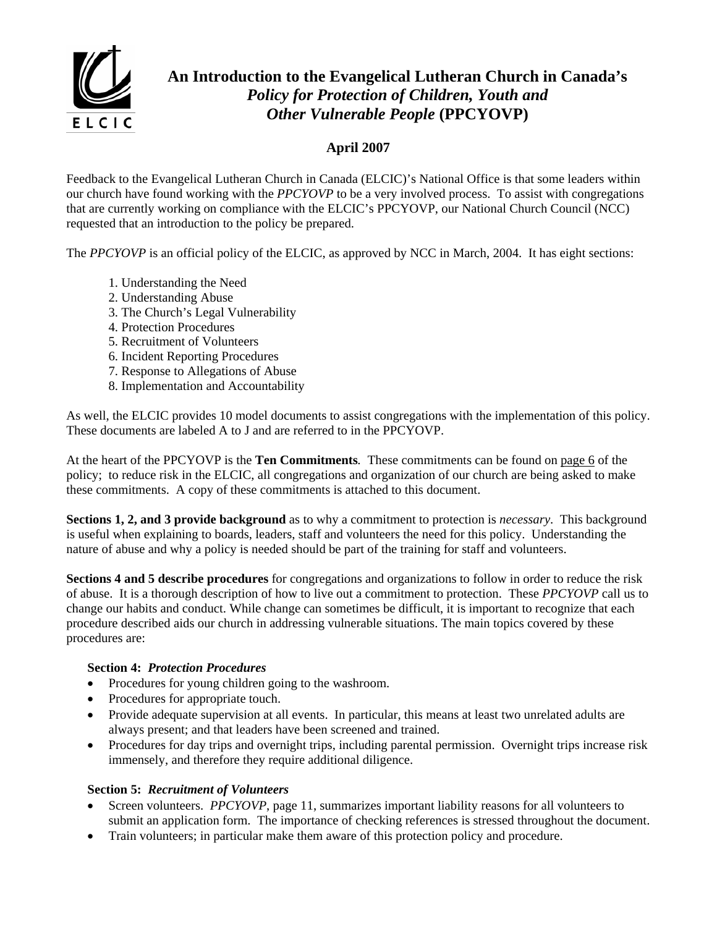

# **An Introduction to the Evangelical Lutheran Church in Canada's**  *Policy for Protection of Children, Youth and Other Vulnerable People* **(PPCYOVP)**

## **April 2007**

Feedback to the Evangelical Lutheran Church in Canada (ELCIC)'s National Office is that some leaders within our church have found working with the *PPCYOVP* to be a very involved process. To assist with congregations that are currently working on compliance with the ELCIC's PPCYOVP, our National Church Council (NCC) requested that an introduction to the policy be prepared.

The *PPCYOVP* is an official policy of the ELCIC, as approved by NCC in March, 2004. It has eight sections:

- 1. Understanding the Need
- 2. Understanding Abuse
- 3. The Church's Legal Vulnerability
- 4. Protection Procedures
- 5. Recruitment of Volunteers
- 6. Incident Reporting Procedures
- 7. Response to Allegations of Abuse
- 8. Implementation and Accountability

As well, the ELCIC provides 10 model documents to assist congregations with the implementation of this policy. These documents are labeled A to J and are referred to in the PPCYOVP.

At the heart of the PPCYOVP is the **Ten Commitments***.* These commitments can be found on page 6 of the policy; to reduce risk in the ELCIC, all congregations and organization of our church are being asked to make these commitments. A copy of these commitments is attached to this document.

**Sections 1, 2, and 3 provide background** as to why a commitment to protection is *necessary*. This background is useful when explaining to boards, leaders, staff and volunteers the need for this policy. Understanding the nature of abuse and why a policy is needed should be part of the training for staff and volunteers.

**Sections 4 and 5 describe procedures** for congregations and organizations to follow in order to reduce the risk of abuse. It is a thorough description of how to live out a commitment to protection. These *PPCYOVP* call us to change our habits and conduct. While change can sometimes be difficult, it is important to recognize that each procedure described aids our church in addressing vulnerable situations. The main topics covered by these procedures are:

#### **Section 4:** *Protection Procedures*

- Procedures for young children going to the washroom.
- Procedures for appropriate touch.
- Provide adequate supervision at all events. In particular, this means at least two unrelated adults are always present; and that leaders have been screened and trained.
- Procedures for day trips and overnight trips, including parental permission. Overnight trips increase risk immensely, and therefore they require additional diligence.

#### **Section 5:** *Recruitment of Volunteers*

- Screen volunteers. *PPCYOVP*, page 11, summarizes important liability reasons for all volunteers to submit an application form. The importance of checking references is stressed throughout the document.
- Train volunteers; in particular make them aware of this protection policy and procedure.